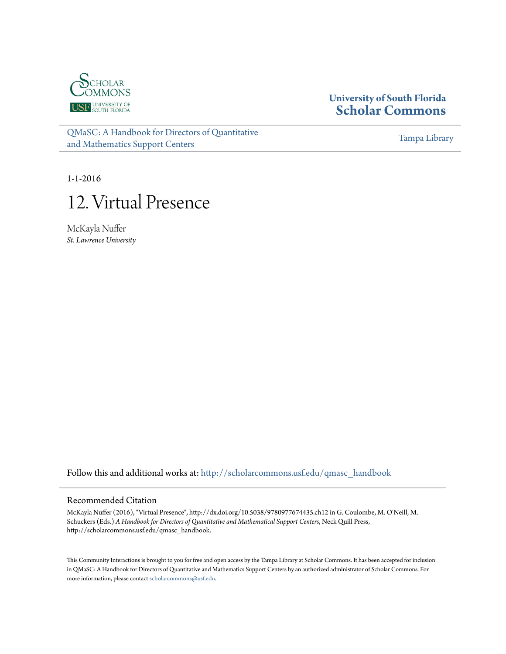

# **University of South Florida [Scholar Commons](http://scholarcommons.usf.edu?utm_source=scholarcommons.usf.edu%2Fqmasc_handbook%2F12&utm_medium=PDF&utm_campaign=PDFCoverPages)**

[QMaSC: A Handbook for Directors of Quantitative](http://scholarcommons.usf.edu/qmasc_handbook?utm_source=scholarcommons.usf.edu%2Fqmasc_handbook%2F12&utm_medium=PDF&utm_campaign=PDFCoverPages) [and Mathematics Support Centers](http://scholarcommons.usf.edu/qmasc_handbook?utm_source=scholarcommons.usf.edu%2Fqmasc_handbook%2F12&utm_medium=PDF&utm_campaign=PDFCoverPages)

[Tampa Library](http://scholarcommons.usf.edu/tlib?utm_source=scholarcommons.usf.edu%2Fqmasc_handbook%2F12&utm_medium=PDF&utm_campaign=PDFCoverPages)

1-1-2016



McKayla Nuffer *St. Lawrence University*

Follow this and additional works at: [http://scholarcommons.usf.edu/qmasc\\_handbook](http://scholarcommons.usf.edu/qmasc_handbook?utm_source=scholarcommons.usf.edu%2Fqmasc_handbook%2F12&utm_medium=PDF&utm_campaign=PDFCoverPages)

### Recommended Citation

McKayla Nuffer (2016), "Virtual Presence", http://dx.doi.org/10.5038/9780977674435.ch12 in G. Coulombe, M. O'Neill, M. Schuckers (Eds.) *A Handbook for Directors of Quantitative and Mathematical Support Centers*, Neck Quill Press, http://scholarcommons.usf.edu/qmasc\_handbook.

This Community Interactions is brought to you for free and open access by the Tampa Library at Scholar Commons. It has been accepted for inclusion in QMaSC: A Handbook for Directors of Quantitative and Mathematics Support Centers by an authorized administrator of Scholar Commons. For more information, please contact [scholarcommons@usf.edu](mailto:scholarcommons@usf.edu).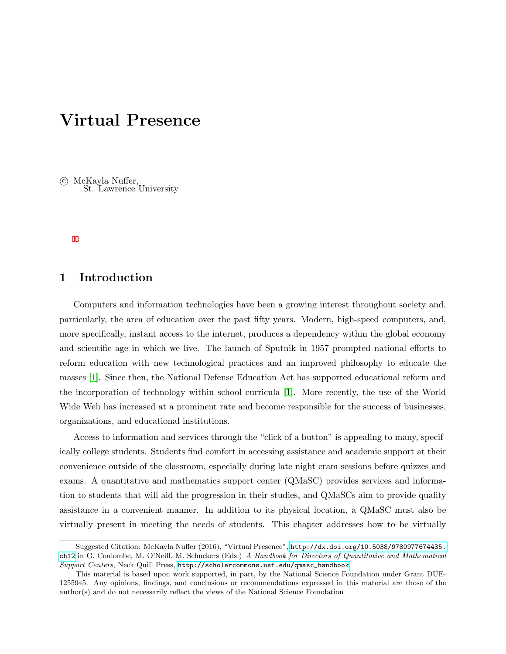# Virtual Presence

 $\odot$  McKayla Nuffer, St. Lawrence University

# 1 Introduction

Computers and information technologies have been a growing interest throughout society and, particularly, the area of education over the past fifty years. Modern, high-speed computers, and, more specifically, instant access to the internet, produces a dependency within the global economy and scientific age in which we live. The launch of Sputnik in 1957 prompted national efforts to reform education with new technological practices and an improved philosophy to educate the masses [1]. Since then, the National Defense Education Act has supported educational reform and the incorporation of technology within school curricula [1]. More recently, the use of the World Wide Web has increased at a prominent rate and become responsible for the success of businesses, organizations, and educational institutions.

Access to information and services through the "click of a button" is appealing to many, specifically college students. Students find comfort in accessing assistance and academic support at their convenience outside of the classroom, especially during late night cram sessions before quizzes and exams. A quantitative and mathematics support center (QMaSC) provides services and information to students that will aid the progression in their studies, and QMaSCs aim to provide quality assistance in a convenient manner. In addition to its physical location, a QMaSC must also be virtually present in meeting the needs of students. This chapter addresses how to be virtually

Suggested Citation: McKayla Nuffer (2016), "Virtual Presence", [http://dx.doi.org/10.5038/9780977674435.](http://dx.doi.org/10.5038/9780977674435.ch12) [ch12](http://dx.doi.org/10.5038/9780977674435.ch12) in G. Coulombe, M. O'Neill, M. Schuckers (Eds.) A Handbook for Directors of Quantitative and Mathematical Support Centers, Neck Quill Press, [http://scholarcommons.usf.edu/qmasc\\_handbook](http://scholarcommons.usf.edu/qmasc_handbook).

This material is based upon work supported, in part, by the National Science Foundation under Grant DUE-1255945. Any opinions, findings, and conclusions or recommendations expressed in this material are those of the author(s) and do not necessarily reflect the views of the National Science Foundation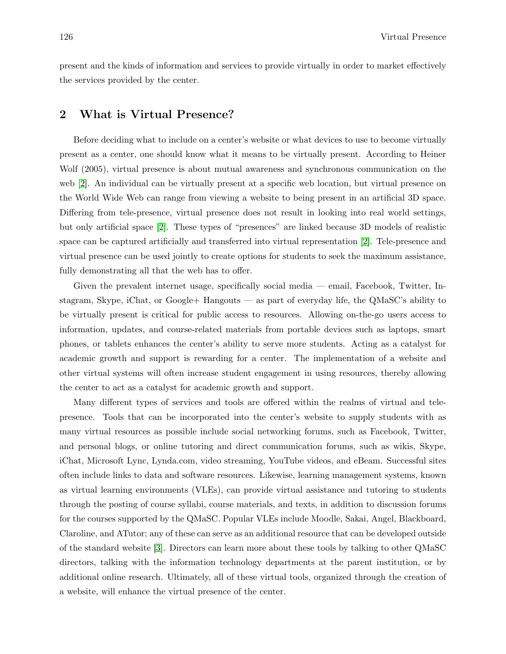present and the kinds of information and services to provide virtually in order to market effectively the services provided by the center.

# 2 What is Virtual Presence?

Before deciding what to include on a center's website or what devices to use to become virtually present as a center, one should know what it means to be virtually present. According to Heiner Wolf (2005), virtual presence is about mutual awareness and synchronous communication on the web [2]. An individual can be virtually present at a specific web location, but virtual presence on the World Wide Web can range from viewing a website to being present in an artificial 3D space. Differing from tele-presence, virtual presence does not result in looking into real world settings, but only artificial space [2]. These types of "presences" are linked because 3D models of realistic space can be captured artificially and transferred into virtual representation [2]. Tele-presence and virtual presence can be used jointly to create options for students to seek the maximum assistance, fully demonstrating all that the web has to offer.

Given the prevalent internet usage, specifically social media — email, Facebook, Twitter, Instagram, Skype, iChat, or Google+ Hangouts — as part of everyday life, the QMaSC's ability to be virtually present is critical for public access to resources. Allowing on-the-go users access to information, updates, and course-related materials from portable devices such as laptops, smart phones, or tablets enhances the center's ability to serve more students. Acting as a catalyst for academic growth and support is rewarding for a center. The implementation of a website and other virtual systems will often increase student engagement in using resources, thereby allowing the center to act as a catalyst for academic growth and support.

Many different types of services and tools are offered within the realms of virtual and telepresence. Tools that can be incorporated into the center's website to supply students with as many virtual resources as possible include social networking forums, such as Facebook, Twitter, and personal blogs, or online tutoring and direct communication forums, such as wikis, Skype, iChat, Microsoft Lync, Lynda.com, video streaming, YouTube videos, and eBeam. Successful sites often include links to data and software resources. Likewise, learning management systems, known as virtual learning environments (VLEs), can provide virtual assistance and tutoring to students through the posting of course syllabi, course materials, and texts, in addition to discussion forums for the courses supported by the QMaSC. Popular VLEs include Moodle, Sakai, Angel, Blackboard, Claroline, and ATutor; any of these can serve as an additional resource that can be developed outside of the standard website [3]. Directors can learn more about these tools by talking to other QMaSC directors, talking with the information technology departments at the parent institution, or by additional online research. Ultimately, all of these virtual tools, organized through the creation of a website, will enhance the virtual presence of the center.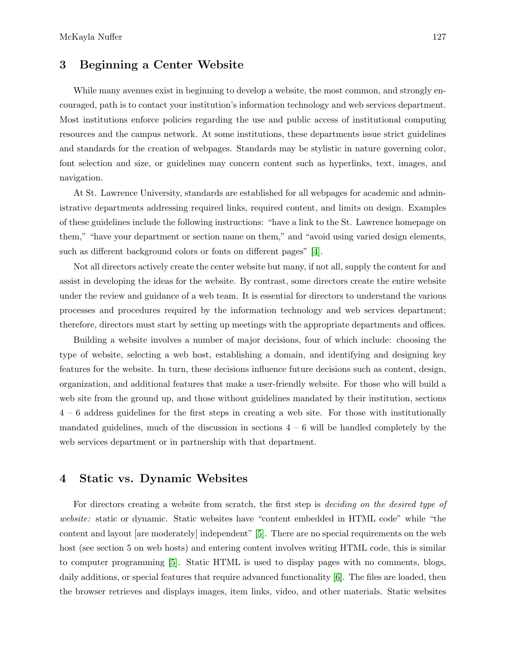# 3 Beginning a Center Website

While many avenues exist in beginning to develop a website, the most common, and strongly encouraged, path is to contact your institution's information technology and web services department. Most institutions enforce policies regarding the use and public access of institutional computing resources and the campus network. At some institutions, these departments issue strict guidelines and standards for the creation of webpages. Standards may be stylistic in nature governing color, font selection and size, or guidelines may concern content such as hyperlinks, text, images, and navigation.

At St. Lawrence University, standards are established for all webpages for academic and administrative departments addressing required links, required content, and limits on design. Examples of these guidelines include the following instructions: "have a link to the St. Lawrence homepage on them," "have your department or section name on them," and "avoid using varied design elements, such as different background colors or fonts on different pages" [4].

Not all directors actively create the center website but many, if not all, supply the content for and assist in developing the ideas for the website. By contrast, some directors create the entire website under the review and guidance of a web team. It is essential for directors to understand the various processes and procedures required by the information technology and web services department; therefore, directors must start by setting up meetings with the appropriate departments and offices.

Building a website involves a number of major decisions, four of which include: choosing the type of website, selecting a web host, establishing a domain, and identifying and designing key features for the website. In turn, these decisions influence future decisions such as content, design, organization, and additional features that make a user-friendly website. For those who will build a web site from the ground up, and those without guidelines mandated by their institution, sections 4 – 6 address guidelines for the first steps in creating a web site. For those with institutionally mandated guidelines, much of the discussion in sections  $4 - 6$  will be handled completely by the web services department or in partnership with that department.

# 4 Static vs. Dynamic Websites

For directors creating a website from scratch, the first step is *deciding on the desired type of* website: static or dynamic. Static websites have "content embedded in HTML code" while "the content and layout [are moderately] independent" [5]. There are no special requirements on the web host (see section 5 on web hosts) and entering content involves writing HTML code, this is similar to computer programming [5]. Static HTML is used to display pages with no comments, blogs, daily additions, or special features that require advanced functionality [6]. The files are loaded, then the browser retrieves and displays images, item links, video, and other materials. Static websites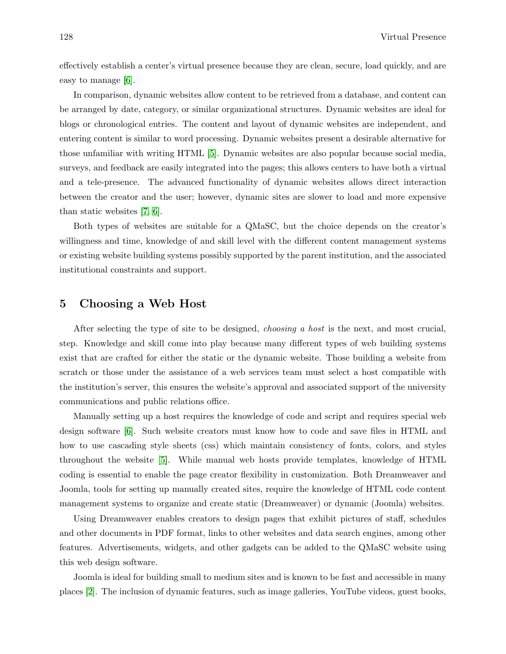effectively establish a center's virtual presence because they are clean, secure, load quickly, and are easy to manage [6].

In comparison, dynamic websites allow content to be retrieved from a database, and content can be arranged by date, category, or similar organizational structures. Dynamic websites are ideal for blogs or chronological entries. The content and layout of dynamic websites are independent, and entering content is similar to word processing. Dynamic websites present a desirable alternative for those unfamiliar with writing HTML [5]. Dynamic websites are also popular because social media, surveys, and feedback are easily integrated into the pages; this allows centers to have both a virtual and a tele-presence. The advanced functionality of dynamic websites allows direct interaction between the creator and the user; however, dynamic sites are slower to load and more expensive than static websites [7, 6].

Both types of websites are suitable for a QMaSC, but the choice depends on the creator's willingness and time, knowledge of and skill level with the different content management systems or existing website building systems possibly supported by the parent institution, and the associated institutional constraints and support.

## 5 Choosing a Web Host

After selecting the type of site to be designed, *choosing a host* is the next, and most crucial, step. Knowledge and skill come into play because many different types of web building systems exist that are crafted for either the static or the dynamic website. Those building a website from scratch or those under the assistance of a web services team must select a host compatible with the institution's server, this ensures the website's approval and associated support of the university communications and public relations office.

Manually setting up a host requires the knowledge of code and script and requires special web design software [6]. Such website creators must know how to code and save files in HTML and how to use cascading style sheets (css) which maintain consistency of fonts, colors, and styles throughout the website [5]. While manual web hosts provide templates, knowledge of HTML coding is essential to enable the page creator flexibility in customization. Both Dreamweaver and Joomla, tools for setting up manually created sites, require the knowledge of HTML code content management systems to organize and create static (Dreamweaver) or dynamic (Joomla) websites.

Using Dreamweaver enables creators to design pages that exhibit pictures of staff, schedules and other documents in PDF format, links to other websites and data search engines, among other features. Advertisements, widgets, and other gadgets can be added to the QMaSC website using this web design software.

Joomla is ideal for building small to medium sites and is known to be fast and accessible in many places [2]. The inclusion of dynamic features, such as image galleries, YouTube videos, guest books,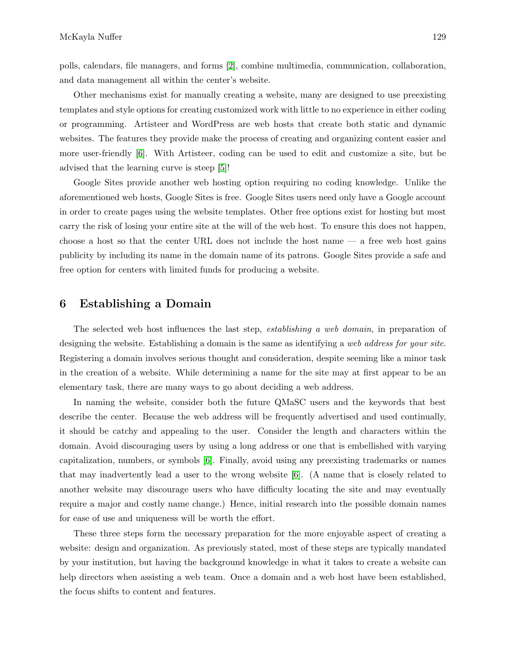polls, calendars, file managers, and forms [2], combine multimedia, communication, collaboration, and data management all within the center's website.

Other mechanisms exist for manually creating a website, many are designed to use preexisting templates and style options for creating customized work with little to no experience in either coding or programming. Artisteer and WordPress are web hosts that create both static and dynamic websites. The features they provide make the process of creating and organizing content easier and more user-friendly [6]. With Artisteer, coding can be used to edit and customize a site, but be advised that the learning curve is steep [5]!

Google Sites provide another web hosting option requiring no coding knowledge. Unlike the aforementioned web hosts, Google Sites is free. Google Sites users need only have a Google account in order to create pages using the website templates. Other free options exist for hosting but most carry the risk of losing your entire site at the will of the web host. To ensure this does not happen, choose a host so that the center URL does not include the host name  $-$  a free web host gains publicity by including its name in the domain name of its patrons. Google Sites provide a safe and free option for centers with limited funds for producing a website.

## 6 Establishing a Domain

The selected web host influences the last step, *establishing a web domain*, in preparation of designing the website. Establishing a domain is the same as identifying a web address for your site. Registering a domain involves serious thought and consideration, despite seeming like a minor task in the creation of a website. While determining a name for the site may at first appear to be an elementary task, there are many ways to go about deciding a web address.

In naming the website, consider both the future QMaSC users and the keywords that best describe the center. Because the web address will be frequently advertised and used continually, it should be catchy and appealing to the user. Consider the length and characters within the domain. Avoid discouraging users by using a long address or one that is embellished with varying capitalization, numbers, or symbols [6]. Finally, avoid using any preexisting trademarks or names that may inadvertently lead a user to the wrong website [6]. (A name that is closely related to another website may discourage users who have difficulty locating the site and may eventually require a major and costly name change.) Hence, initial research into the possible domain names for ease of use and uniqueness will be worth the effort.

These three steps form the necessary preparation for the more enjoyable aspect of creating a website: design and organization. As previously stated, most of these steps are typically mandated by your institution, but having the background knowledge in what it takes to create a website can help directors when assisting a web team. Once a domain and a web host have been established, the focus shifts to content and features.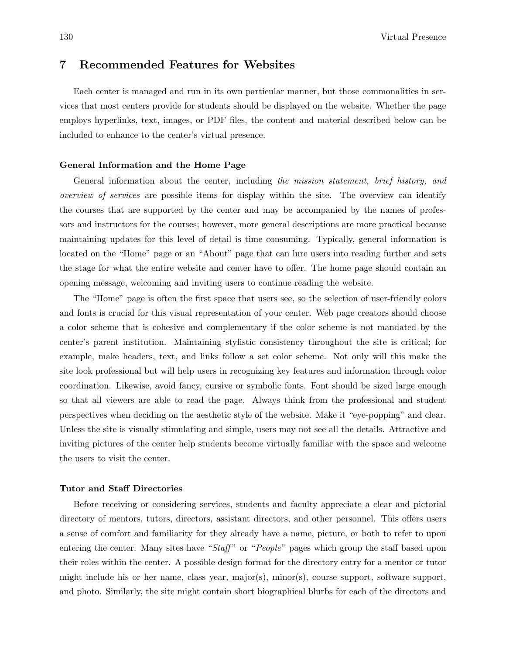# 7 Recommended Features for Websites

Each center is managed and run in its own particular manner, but those commonalities in services that most centers provide for students should be displayed on the website. Whether the page employs hyperlinks, text, images, or PDF files, the content and material described below can be included to enhance to the center's virtual presence.

#### General Information and the Home Page

General information about the center, including the mission statement, brief history, and overview of services are possible items for display within the site. The overview can identify the courses that are supported by the center and may be accompanied by the names of professors and instructors for the courses; however, more general descriptions are more practical because maintaining updates for this level of detail is time consuming. Typically, general information is located on the "Home" page or an "About" page that can lure users into reading further and sets the stage for what the entire website and center have to offer. The home page should contain an opening message, welcoming and inviting users to continue reading the website.

The "Home" page is often the first space that users see, so the selection of user-friendly colors and fonts is crucial for this visual representation of your center. Web page creators should choose a color scheme that is cohesive and complementary if the color scheme is not mandated by the center's parent institution. Maintaining stylistic consistency throughout the site is critical; for example, make headers, text, and links follow a set color scheme. Not only will this make the site look professional but will help users in recognizing key features and information through color coordination. Likewise, avoid fancy, cursive or symbolic fonts. Font should be sized large enough so that all viewers are able to read the page. Always think from the professional and student perspectives when deciding on the aesthetic style of the website. Make it "eye-popping" and clear. Unless the site is visually stimulating and simple, users may not see all the details. Attractive and inviting pictures of the center help students become virtually familiar with the space and welcome the users to visit the center.

#### Tutor and Staff Directories

Before receiving or considering services, students and faculty appreciate a clear and pictorial directory of mentors, tutors, directors, assistant directors, and other personnel. This offers users a sense of comfort and familiarity for they already have a name, picture, or both to refer to upon entering the center. Many sites have "Staff" or "People" pages which group the staff based upon their roles within the center. A possible design format for the directory entry for a mentor or tutor might include his or her name, class year, major(s), minor(s), course support, software support, and photo. Similarly, the site might contain short biographical blurbs for each of the directors and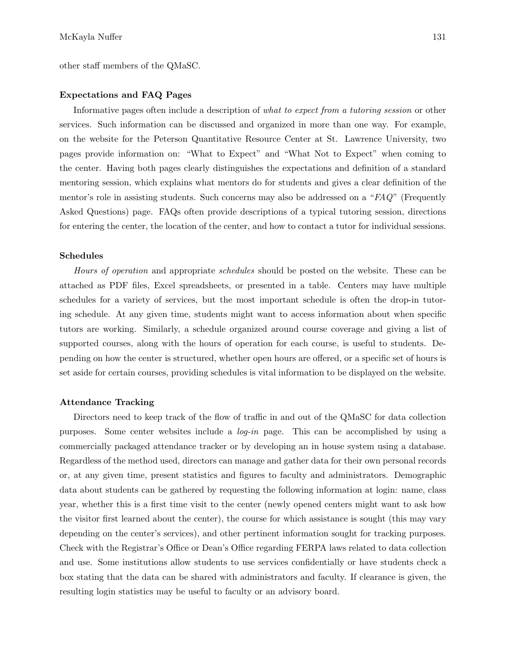other staff members of the QMaSC.

#### Expectations and FAQ Pages

Informative pages often include a description of what to expect from a tutoring session or other services. Such information can be discussed and organized in more than one way. For example, on the website for the Peterson Quantitative Resource Center at St. Lawrence University, two pages provide information on: "What to Expect" and "What Not to Expect" when coming to the center. Having both pages clearly distinguishes the expectations and definition of a standard mentoring session, which explains what mentors do for students and gives a clear definition of the mentor's role in assisting students. Such concerns may also be addressed on a " $FAQ$ " (Frequently Asked Questions) page. FAQs often provide descriptions of a typical tutoring session, directions for entering the center, the location of the center, and how to contact a tutor for individual sessions.

#### Schedules

Hours of operation and appropriate schedules should be posted on the website. These can be attached as PDF files, Excel spreadsheets, or presented in a table. Centers may have multiple schedules for a variety of services, but the most important schedule is often the drop-in tutoring schedule. At any given time, students might want to access information about when specific tutors are working. Similarly, a schedule organized around course coverage and giving a list of supported courses, along with the hours of operation for each course, is useful to students. Depending on how the center is structured, whether open hours are offered, or a specific set of hours is set aside for certain courses, providing schedules is vital information to be displayed on the website.

#### Attendance Tracking

Directors need to keep track of the flow of traffic in and out of the QMaSC for data collection purposes. Some center websites include a log-in page. This can be accomplished by using a commercially packaged attendance tracker or by developing an in house system using a database. Regardless of the method used, directors can manage and gather data for their own personal records or, at any given time, present statistics and figures to faculty and administrators. Demographic data about students can be gathered by requesting the following information at login: name, class year, whether this is a first time visit to the center (newly opened centers might want to ask how the visitor first learned about the center), the course for which assistance is sought (this may vary depending on the center's services), and other pertinent information sought for tracking purposes. Check with the Registrar's Office or Dean's Office regarding FERPA laws related to data collection and use. Some institutions allow students to use services confidentially or have students check a box stating that the data can be shared with administrators and faculty. If clearance is given, the resulting login statistics may be useful to faculty or an advisory board.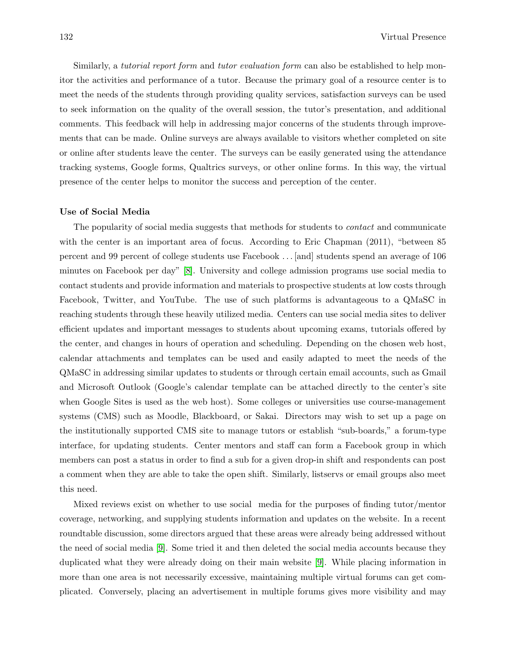Similarly, a *tutorial report form* and *tutor evaluation form* can also be established to help monitor the activities and performance of a tutor. Because the primary goal of a resource center is to meet the needs of the students through providing quality services, satisfaction surveys can be used to seek information on the quality of the overall session, the tutor's presentation, and additional comments. This feedback will help in addressing major concerns of the students through improvements that can be made. Online surveys are always available to visitors whether completed on site or online after students leave the center. The surveys can be easily generated using the attendance tracking systems, Google forms, Qualtrics surveys, or other online forms. In this way, the virtual presence of the center helps to monitor the success and perception of the center.

#### Use of Social Media

The popularity of social media suggests that methods for students to *contact* and communicate with the center is an important area of focus. According to Eric Chapman (2011), "between 85 percent and 99 percent of college students use Facebook . . . [and] students spend an average of 106 minutes on Facebook per day" [8]. University and college admission programs use social media to contact students and provide information and materials to prospective students at low costs through Facebook, Twitter, and YouTube. The use of such platforms is advantageous to a QMaSC in reaching students through these heavily utilized media. Centers can use social media sites to deliver efficient updates and important messages to students about upcoming exams, tutorials offered by the center, and changes in hours of operation and scheduling. Depending on the chosen web host, calendar attachments and templates can be used and easily adapted to meet the needs of the QMaSC in addressing similar updates to students or through certain email accounts, such as Gmail and Microsoft Outlook (Google's calendar template can be attached directly to the center's site when Google Sites is used as the web host). Some colleges or universities use course-management systems (CMS) such as Moodle, Blackboard, or Sakai. Directors may wish to set up a page on the institutionally supported CMS site to manage tutors or establish "sub-boards," a forum-type interface, for updating students. Center mentors and staff can form a Facebook group in which members can post a status in order to find a sub for a given drop-in shift and respondents can post a comment when they are able to take the open shift. Similarly, listservs or email groups also meet this need.

Mixed reviews exist on whether to use social media for the purposes of finding tutor/mentor coverage, networking, and supplying students information and updates on the website. In a recent roundtable discussion, some directors argued that these areas were already being addressed without the need of social media [9]. Some tried it and then deleted the social media accounts because they duplicated what they were already doing on their main website [9]. While placing information in more than one area is not necessarily excessive, maintaining multiple virtual forums can get complicated. Conversely, placing an advertisement in multiple forums gives more visibility and may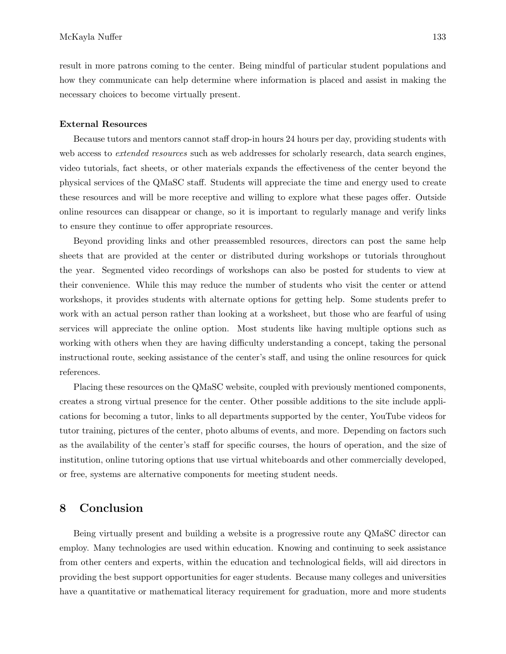result in more patrons coming to the center. Being mindful of particular student populations and how they communicate can help determine where information is placed and assist in making the necessary choices to become virtually present.

#### External Resources

Because tutors and mentors cannot staff drop-in hours 24 hours per day, providing students with web access to *extended resources* such as web addresses for scholarly research, data search engines, video tutorials, fact sheets, or other materials expands the effectiveness of the center beyond the physical services of the QMaSC staff. Students will appreciate the time and energy used to create these resources and will be more receptive and willing to explore what these pages offer. Outside online resources can disappear or change, so it is important to regularly manage and verify links to ensure they continue to offer appropriate resources.

Beyond providing links and other preassembled resources, directors can post the same help sheets that are provided at the center or distributed during workshops or tutorials throughout the year. Segmented video recordings of workshops can also be posted for students to view at their convenience. While this may reduce the number of students who visit the center or attend workshops, it provides students with alternate options for getting help. Some students prefer to work with an actual person rather than looking at a worksheet, but those who are fearful of using services will appreciate the online option. Most students like having multiple options such as working with others when they are having difficulty understanding a concept, taking the personal instructional route, seeking assistance of the center's staff, and using the online resources for quick references.

Placing these resources on the QMaSC website, coupled with previously mentioned components, creates a strong virtual presence for the center. Other possible additions to the site include applications for becoming a tutor, links to all departments supported by the center, YouTube videos for tutor training, pictures of the center, photo albums of events, and more. Depending on factors such as the availability of the center's staff for specific courses, the hours of operation, and the size of institution, online tutoring options that use virtual whiteboards and other commercially developed, or free, systems are alternative components for meeting student needs.

### 8 Conclusion

Being virtually present and building a website is a progressive route any QMaSC director can employ. Many technologies are used within education. Knowing and continuing to seek assistance from other centers and experts, within the education and technological fields, will aid directors in providing the best support opportunities for eager students. Because many colleges and universities have a quantitative or mathematical literacy requirement for graduation, more and more students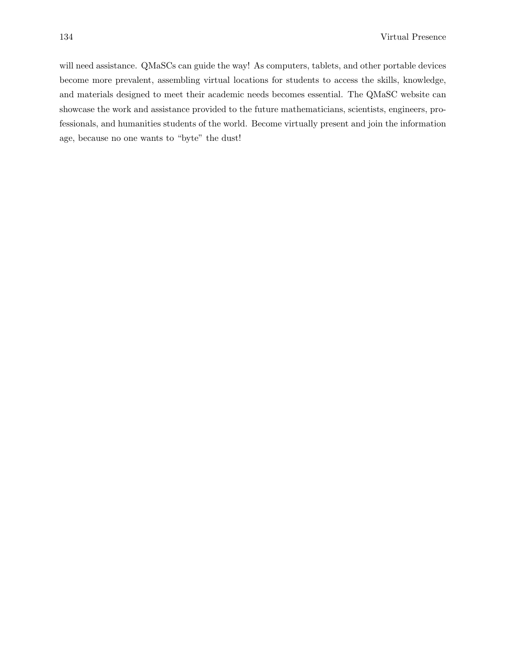will need assistance. QMaSCs can guide the way! As computers, tablets, and other portable devices become more prevalent, assembling virtual locations for students to access the skills, knowledge, and materials designed to meet their academic needs becomes essential. The QMaSC website can showcase the work and assistance provided to the future mathematicians, scientists, engineers, professionals, and humanities students of the world. Become virtually present and join the information age, because no one wants to "byte" the dust!